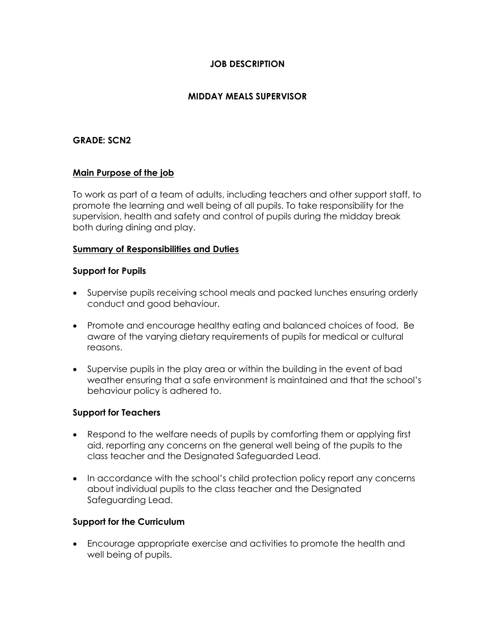## **JOB DESCRIPTION**

# **MIDDAY MEALS SUPERVISOR**

## **GRADE: SCN2**

#### **Main Purpose of the job**

To work as part of a team of adults, including teachers and other support staff, to promote the learning and well being of all pupils. To take responsibility for the supervision, health and safety and control of pupils during the midday break both during dining and play.

#### **Summary of Responsibilities and Duties**

#### **Support for Pupils**

- Supervise pupils receiving school meals and packed lunches ensuring orderly conduct and good behaviour.
- Promote and encourage healthy eating and balanced choices of food. Be aware of the varying dietary requirements of pupils for medical or cultural reasons.
- Supervise pupils in the play area or within the building in the event of bad weather ensuring that a safe environment is maintained and that the school's behaviour policy is adhered to.

#### **Support for Teachers**

- Respond to the welfare needs of pupils by comforting them or applying first aid, reporting any concerns on the general well being of the pupils to the class teacher and the Designated Safeguarded Lead.
- In accordance with the school's child protection policy report any concerns about individual pupils to the class teacher and the Designated Safeguarding Lead.

#### **Support for the Curriculum**

• Encourage appropriate exercise and activities to promote the health and well being of pupils.